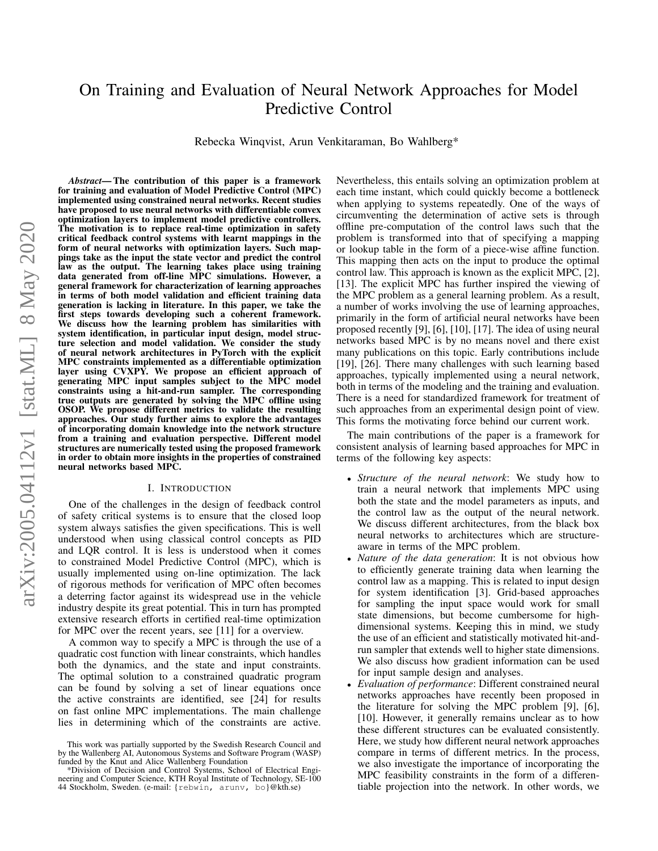# On Training and Evaluation of Neural Network Approaches for Model Predictive Control

Rebecka Winqvist, Arun Venkitaraman, Bo Wahlberg\*

*Abstract*— The contribution of this paper is a framework for training and evaluation of Model Predictive Control (MPC) implemented using constrained neural networks. Recent studies have proposed to use neural networks with differentiable convex optimization layers to implement model predictive controllers. The motivation is to replace real-time optimization in safety critical feedback control systems with learnt mappings in the form of neural networks with optimization layers. Such mappings take as the input the state vector and predict the control law as the output. The learning takes place using training data generated from off-line MPC simulations. However, a general framework for characterization of learning approaches in terms of both model validation and efficient training data generation is lacking in literature. In this paper, we take the first steps towards developing such a coherent framework. We discuss how the learning problem has similarities with system identification, in particular input design, model structure selection and model validation. We consider the study of neural network architectures in PyTorch with the explicit MPC constraints implemented as a differentiable optimization layer using CVXPY. We propose an efficient approach of generating MPC input samples subject to the MPC model constraints using a hit-and-run sampler. The corresponding true outputs are generated by solving the MPC offline using OSOP. We propose different metrics to validate the resulting approaches. Our study further aims to explore the advantages of incorporating domain knowledge into the network structure from a training and evaluation perspective. Different model structures are numerically tested using the proposed framework in order to obtain more insights in the properties of constrained neural networks based MPC.

## I. INTRODUCTION

<span id="page-0-0"></span>One of the challenges in the design of feedback control of safety critical systems is to ensure that the closed loop system always satisfies the given specifications. This is well understood when using classical control concepts as PID and LQR control. It is less is understood when it comes to constrained Model Predictive Control (MPC), which is usually implemented using on-line optimization. The lack of rigorous methods for verification of MPC often becomes a deterring factor against its widespread use in the vehicle industry despite its great potential. This in turn has prompted extensive research efforts in certified real-time optimization for MPC over the recent years, see [11] for a overview.

A common way to specify a MPC is through the use of a quadratic cost function with linear constraints, which handles both the dynamics, and the state and input constraints. The optimal solution to a constrained quadratic program can be found by solving a set of linear equations once the active constraints are identified, see [24] for results on fast online MPC implementations. The main challenge lies in determining which of the constraints are active.

Nevertheless, this entails solving an optimization problem at each time instant, which could quickly become a bottleneck when applying to systems repeatedly. One of the ways of circumventing the determination of active sets is through offline pre-computation of the control laws such that the problem is transformed into that of specifying a mapping or lookup table in the form of a piece-wise affine function. This mapping then acts on the input to produce the optimal control law. This approach is known as the explicit MPC, [2], [13]. The explicit MPC has further inspired the viewing of the MPC problem as a general learning problem. As a result, a number of works involving the use of learning approaches, primarily in the form of artificial neural networks have been proposed recently [9], [6], [10], [17]. The idea of using neural networks based MPC is by no means novel and there exist many publications on this topic. Early contributions include [19], [26]. There many challenges with such learning based approaches, typically implemented using a neural network, both in terms of the modeling and the training and evaluation. There is a need for standardized framework for treatment of such approaches from an experimental design point of view. This forms the motivating force behind our current work.

The main contributions of the paper is a framework for consistent analysis of learning based approaches for MPC in terms of the following key aspects:

- *Structure of the neural network*: We study how to train a neural network that implements MPC using both the state and the model parameters as inputs, and the control law as the output of the neural network. We discuss different architectures, from the black box neural networks to architectures which are structureaware in terms of the MPC problem.
- *Nature of the data generation*: It is not obvious how to efficiently generate training data when learning the control law as a mapping. This is related to input design for system identification [3]. Grid-based approaches for sampling the input space would work for small state dimensions, but become cumbersome for highdimensional systems. Keeping this in mind, we study the use of an efficient and statistically motivated hit-andrun sampler that extends well to higher state dimensions. We also discuss how gradient information can be used for input sample design and analyses.
- *Evaluation of performance*: Different constrained neural networks approaches have recently been proposed in the literature for solving the MPC problem [9], [6], [10]. However, it generally remains unclear as to how these different structures can be evaluated consistently. Here, we study how different neural network approaches compare in terms of different metrics. In the process, we also investigate the importance of incorporating the MPC feasibility constraints in the form of a differentiable projection into the network. In other words, we

This work was partially supported by the Swedish Research Council and by the Wallenberg AI, Autonomous Systems and Software Program (WASP) funded by the Knut and Alice Wallenberg Foundation

<sup>\*</sup>Division of Decision and Control Systems, School of Electrical Engineering and Computer Science, KTH Royal Institute of Technology, SE-100 44 Stockholm, Sweden. (e-mail: {rebwin, arunv, bo}@kth.se)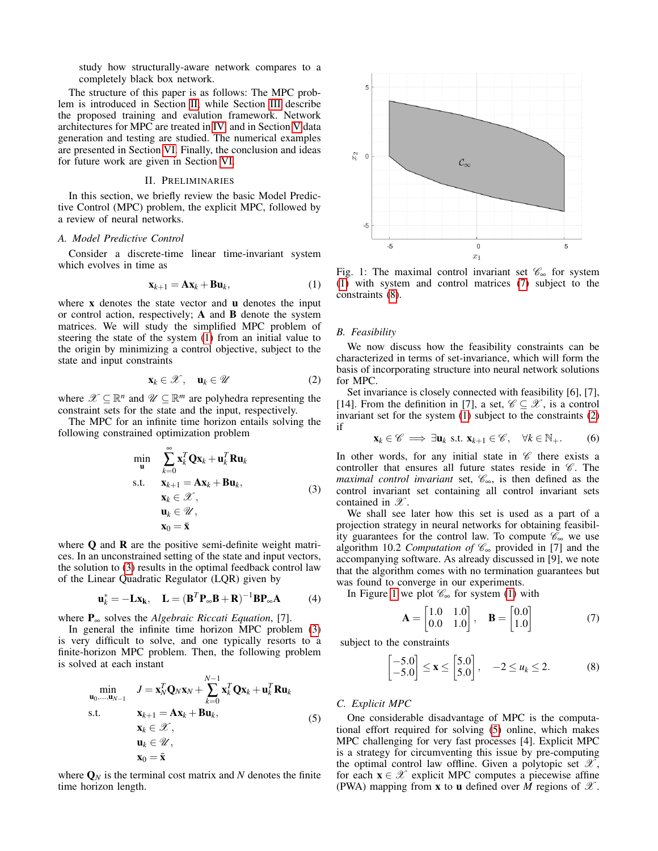study how structurally-aware network compares to a completely black box network.

The structure of this paper is as follows: The MPC problem is introduced in Section [II,](#page-1-0) while Section [III](#page-2-0) describe the proposed training and evalution framework. Network architectures for MPC are treated in [IV,](#page-3-0) and in Section [V](#page-4-0) data generation and testing are studied. The numerical examples are presented in Section [VI.](#page-4-1) Finally, the conclusion and ideas for future work are given in Section [VI.](#page-4-1)

# II. PRELIMINARIES

<span id="page-1-0"></span>In this section, we briefly review the basic Model Predictive Control (MPC) problem, the explicit MPC, followed by a review of neural networks.

# *A. Model Predictive Control*

Consider a discrete-time linear time-invariant system which evolves in time as

<span id="page-1-1"></span>
$$
\mathbf{x}_{k+1} = \mathbf{A}\mathbf{x}_k + \mathbf{B}\mathbf{u}_k, \tag{1}
$$

where  $x$  denotes the state vector and  $u$  denotes the input or control action, respectively; A and B denote the system matrices. We will study the simplified MPC problem of steering the state of the system [\(1\)](#page-1-1) from an initial value to the origin by minimizing a control objective, subject to the state and input constraints

<span id="page-1-5"></span>
$$
\mathbf{x}_k \in \mathcal{X}, \quad \mathbf{u}_k \in \mathcal{U} \tag{2}
$$

where  $\mathscr{X} \subseteq \mathbb{R}^n$  and  $\mathscr{U} \subseteq \mathbb{R}^m$  are polyhedra representing the constraint sets for the state and the input, respectively.

The MPC for an infinite time horizon entails solving the following constrained optimization problem

<span id="page-1-2"></span>
$$
\min_{\mathbf{u}} \quad \sum_{k=0}^{\infty} \mathbf{x}_k^T \mathbf{Q} \mathbf{x}_k + \mathbf{u}_k^T \mathbf{R} \mathbf{u}_k
$$
\ns.t. 
$$
\mathbf{x}_{k+1} = \mathbf{A} \mathbf{x}_k + \mathbf{B} \mathbf{u}_k,
$$
\n
$$
\mathbf{x}_k \in \mathcal{X},
$$
\n
$$
\mathbf{u}_k \in \mathcal{U},
$$
\n
$$
\mathbf{x}_0 = \bar{\mathbf{x}}
$$
\n(3)

where Q and R are the positive semi-definite weight matrices. In an unconstrained setting of the state and input vectors, the solution to [\(3\)](#page-1-2) results in the optimal feedback control law of the Linear Quadratic Regulator (LQR) given by

$$
\mathbf{u}_k^* = -\mathbf{L}\mathbf{x}_k, \quad \mathbf{L} = (\mathbf{B}^T \mathbf{P}_{\infty} \mathbf{B} + \mathbf{R})^{-1} \mathbf{B} \mathbf{P}_{\infty} \mathbf{A} \tag{4}
$$

where P<sup>∞</sup> solves the *Algebraic Riccati Equation*, [7].

In general the infinite time horizon MPC problem [\(3\)](#page-1-2) is very difficult to solve, and one typically resorts to a finite-horizon MPC problem. Then, the following problem is solved at each instant

<span id="page-1-7"></span>
$$
\min_{\mathbf{u}_0,\dots,\mathbf{u}_{N-1}} \quad J = \mathbf{x}_N^T \mathbf{Q}_N \mathbf{x}_N + \sum_{k=0}^{N-1} \mathbf{x}_k^T \mathbf{Q} \mathbf{x}_k + \mathbf{u}_k^T \mathbf{R} \mathbf{u}_k
$$
\ns.t.\n
$$
\mathbf{x}_k + 1 = \mathbf{A} \mathbf{x}_k + \mathbf{B} \mathbf{u}_k,
$$
\n
$$
\mathbf{x}_k \in \mathcal{X},
$$
\n
$$
\mathbf{u}_k \in \mathcal{U},
$$
\n
$$
\mathbf{x}_0 = \bar{\mathbf{x}}
$$
\n(5)

where  $\mathbf{Q}_N$  is the terminal cost matrix and  $N$  denotes the finite time horizon length.

<span id="page-1-6"></span>

Fig. 1: The maximal control invariant set  $\mathscr{C}_{\infty}$  for system [\(1\)](#page-1-1) with system and control matrices [\(7\)](#page-1-3) subject to the constraints [\(8\)](#page-1-4).

## *B. Feasibility*

We now discuss how the feasibility constraints can be characterized in terms of set-invariance, which will form the basis of incorporating structure into neural network solutions for MPC.

Set invariance is closely connected with feasibility [6], [7], [14]. From the definition in [7], a set,  $\mathscr{C} \subseteq \mathscr{X}$ , is a control invariant set for the system [\(1\)](#page-1-1) subject to the constraints [\(2\)](#page-1-5) if

$$
\mathbf{x}_k \in \mathscr{C} \implies \exists \mathbf{u}_k \text{ s.t. } \mathbf{x}_{k+1} \in \mathscr{C}, \quad \forall k \in \mathbb{N}_+.
$$
 (6)

In other words, for any initial state in  $\mathscr C$  there exists a controller that ensures all future states reside in  $\mathscr{C}$ . The *maximal control invariant* set,  $\mathcal{C}_{\infty}$ , is then defined as the control invariant set containing all control invariant sets contained in  $\mathscr{X}$ .

We shall see later how this set is used as a part of a projection strategy in neural networks for obtaining feasibility guarantees for the control law. To compute  $\mathscr{C}_{\infty}$  we use algorithm 10.2 *Computation of* C<sup>∞</sup> provided in [7] and the accompanying software. As already discussed in [9], we note that the algorithm comes with no termination guarantees but was found to converge in our experiments.

In Figure [1](#page-1-6) we plot  $\mathcal{C}_{\infty}$  for system [\(1\)](#page-1-1) with

<span id="page-1-3"></span>
$$
\mathbf{A} = \begin{bmatrix} 1.0 & 1.0 \\ 0.0 & 1.0 \end{bmatrix}, \quad \mathbf{B} = \begin{bmatrix} 0.0 \\ 1.0 \end{bmatrix} \tag{7}
$$

subject to the constraints

<span id="page-1-4"></span>
$$
\begin{bmatrix} -5.0 \\ -5.0 \end{bmatrix} \le \mathbf{x} \le \begin{bmatrix} 5.0 \\ 5.0 \end{bmatrix}, \quad -2 \le u_k \le 2. \tag{8}
$$

# *C. Explicit MPC*

One considerable disadvantage of MPC is the computational effort required for solving [\(5\)](#page-1-7) online, which makes MPC challenging for very fast processes [4]. Explicit MPC is a strategy for circumventing this issue by pre-computing the optimal control law offline. Given a polytopic set  $\mathscr{X},$ for each  $x \in \mathcal{X}$  explicit MPC computes a piecewise affine (PWA) mapping from **x** to **u** defined over *M* regions of  $\mathcal{X}$ .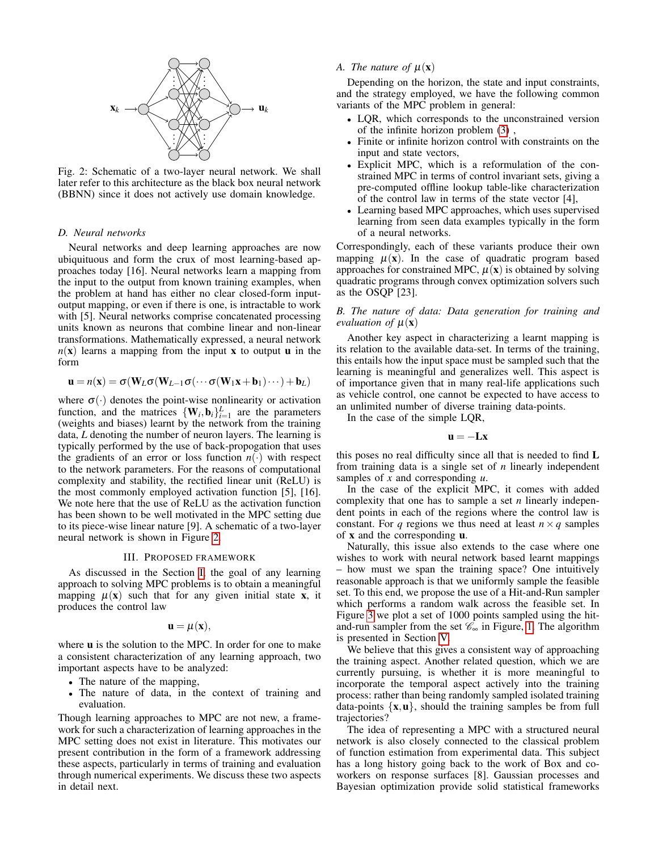<span id="page-2-1"></span>

Fig. 2: Schematic of a two-layer neural network. We shall later refer to this architecture as the black box neural network (BBNN) since it does not actively use domain knowledge.

## *D. Neural networks*

Neural networks and deep learning approaches are now ubiquituous and form the crux of most learning-based approaches today [16]. Neural networks learn a mapping from the input to the output from known training examples, when the problem at hand has either no clear closed-form inputoutput mapping, or even if there is one, is intractable to work with [5]. Neural networks comprise concatenated processing units known as neurons that combine linear and non-linear transformations. Mathematically expressed, a neural network  $n(x)$  learns a mapping from the input x to output **u** in the form

$$
\mathbf{u} = n(\mathbf{x}) = \sigma(\mathbf{W}_L \sigma(\mathbf{W}_{L-1} \sigma(\cdots \sigma(\mathbf{W}_1 \mathbf{x} + \mathbf{b}_1) \cdots) + \mathbf{b}_L)
$$

where  $\sigma(\cdot)$  denotes the point-wise nonlinearity or activation function, and the matrices  $\{W_i, b_i\}_{i=1}^L$  are the parameters (weights and biases) learnt by the network from the training data, *L* denoting the number of neuron layers. The learning is typically performed by the use of back-propogation that uses the gradients of an error or loss function  $n(\cdot)$  with respect to the network parameters. For the reasons of computational complexity and stability, the rectified linear unit (ReLU) is the most commonly employed activation function [5], [16]. We note here that the use of ReLU as the activation function has been shown to be well motivated in the MPC setting due to its piece-wise linear nature [9]. A schematic of a two-layer neural network is shown in Figure [2.](#page-2-1)

## III. PROPOSED FRAMEWORK

<span id="page-2-0"></span>As discussed in the Section [I,](#page-0-0) the goal of any learning approach to solving MPC problems is to obtain a meaningful mapping  $\mu(x)$  such that for any given initial state x, it produces the control law

$$
\mathbf{u} = \mu(\mathbf{x}),
$$

where **u** is the solution to the MPC. In order for one to make a consistent characterization of any learning approach, two important aspects have to be analyzed:

- The nature of the mapping,
- The nature of data, in the context of training and evaluation.

Though learning approaches to MPC are not new, a framework for such a characterization of learning approaches in the MPC setting does not exist in literature. This motivates our present contribution in the form of a framework addressing these aspects, particularly in terms of training and evaluation through numerical experiments. We discuss these two aspects in detail next.

## *A. The nature of*  $\mu(\mathbf{x})$

Depending on the horizon, the state and input constraints, and the strategy employed, we have the following common variants of the MPC problem in general:

- LQR, which corresponds to the unconstrained version of the infinite horizon problem [\(3\)](#page-1-2) ,
- Finite or infinite horizon control with constraints on the input and state vectors,
- Explicit MPC, which is a reformulation of the constrained MPC in terms of control invariant sets, giving a pre-computed offline lookup table-like characterization of the control law in terms of the state vector [4],
- Learning based MPC approaches, which uses supervised learning from seen data examples typically in the form of a neural networks.

Correspondingly, each of these variants produce their own mapping  $\mu(x)$ . In the case of quadratic program based approaches for constrained MPC,  $\mu(\mathbf{x})$  is obtained by solving quadratic programs through convex optimization solvers such as the OSQP [23].

# *B. The nature of data: Data generation for training and evaluation of*  $\mu(\mathbf{x})$

Another key aspect in characterizing a learnt mapping is its relation to the available data-set. In terms of the training, this entails how the input space must be sampled such that the learning is meaningful and generalizes well. This aspect is of importance given that in many real-life applications such as vehicle control, one cannot be expected to have access to an unlimited number of diverse training data-points.

In the case of the simple LQR,

$$
\mathbf{u} = -\mathbf{L}\mathbf{x}
$$

this poses no real difficulty since all that is needed to find L from training data is a single set of *n* linearly independent samples of *x* and corresponding *u*.

In the case of the explicit MPC, it comes with added complexity that one has to sample a set *n* linearly independent points in each of the regions where the control law is constant. For *q* regions we thus need at least  $n \times q$  samples of x and the corresponding u.

Naturally, this issue also extends to the case where one wishes to work with neural network based learnt mappings – how must we span the training space? One intuitively reasonable approach is that we uniformly sample the feasible set. To this end, we propose the use of a Hit-and-Run sampler which performs a random walk across the feasible set. In Figure [3](#page-3-1) we plot a set of 1000 points sampled using the hitand-run sampler from the set  $\mathcal{C}_{\infty}$  in Figure, [1.](#page-1-6) The algorithm is presented in Section [V.](#page-4-0)

We believe that this gives a consistent way of approaching the training aspect. Another related question, which we are currently pursuing, is whether it is more meaningful to incorporate the temporal aspect actively into the training process: rather than being randomly sampled isolated training data-points  $\{x, u\}$ , should the training samples be from full trajectories?

The idea of representing a MPC with a structured neural network is also closely connected to the classical problem of function estimation from experimental data. This subject has a long history going back to the work of Box and coworkers on response surfaces [8]. Gaussian processes and Bayesian optimization provide solid statistical frameworks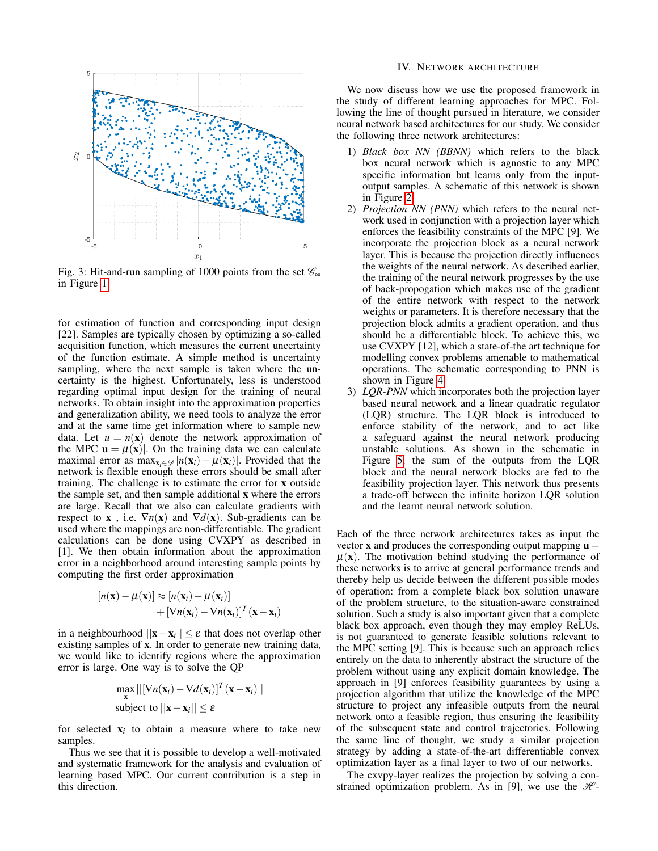<span id="page-3-1"></span>

Fig. 3: Hit-and-run sampling of 1000 points from the set  $\mathcal{C}_{\infty}$ in Figure [1.](#page-1-6)

for estimation of function and corresponding input design [22]. Samples are typically chosen by optimizing a so-called acquisition function, which measures the current uncertainty of the function estimate. A simple method is uncertainty sampling, where the next sample is taken where the uncertainty is the highest. Unfortunately, less is understood regarding optimal input design for the training of neural networks. To obtain insight into the approximation properties and generalization ability, we need tools to analyze the error and at the same time get information where to sample new data. Let  $u = n(x)$  denote the network approximation of the MPC  $\mathbf{u} = \mu(\mathbf{x})$ . On the training data we can calculate maximal error as  $\max_{\mathbf{x}_i \in \mathcal{D}} |n(\mathbf{x}_i) - \mu(\mathbf{x}_i)|$ . Provided that the network is flexible enough these errors should be small after training. The challenge is to estimate the error for x outside the sample set, and then sample additional x where the errors are large. Recall that we also can calculate gradients with respect to **x**, i.e.  $\nabla n(\mathbf{x})$  and  $\nabla d(\mathbf{x})$ . Sub-gradients can be used where the mappings are non-differentiable. The gradient calculations can be done using CVXPY as described in [1]. We then obtain information about the approximation error in a neighborhood around interesting sample points by computing the first order approximation

$$
[n(\mathbf{x}) - \mu(\mathbf{x})] \approx [n(\mathbf{x}_i) - \mu(\mathbf{x}_i)] + [\nabla n(\mathbf{x}_i) - \nabla n(\mathbf{x}_i)]^T (\mathbf{x} - \mathbf{x}_i)
$$

in a neighbourhood  $||\mathbf{x} - \mathbf{x}_i|| \leq \varepsilon$  that does not overlap other existing samples of x. In order to generate new training data, we would like to identify regions where the approximation error is large. One way is to solve the QP

$$
\max_{\mathbf{x}}||[\nabla n(\mathbf{x}_i) - \nabla d(\mathbf{x}_i)]^T(\mathbf{x} - \mathbf{x}_i)||
$$
\nsubject to 
$$
||\mathbf{x} - \mathbf{x}_i|| \leq \varepsilon
$$

for selected  $x_i$  to obtain a measure where to take new samples.

Thus we see that it is possible to develop a well-motivated and systematic framework for the analysis and evaluation of learning based MPC. Our current contribution is a step in this direction.

## IV. NETWORK ARCHITECTURE

<span id="page-3-0"></span>We now discuss how we use the proposed framework in the study of different learning approaches for MPC. Following the line of thought pursued in literature, we consider neural network based architectures for our study. We consider the following three network architectures:

- 1) *Black box NN (BBNN)* which refers to the black box neural network which is agnostic to any MPC specific information but learns only from the inputoutput samples. A schematic of this network is shown in Figure [2.](#page-2-1)
- 2) *Projection NN (PNN)* which refers to the neural network used in conjunction with a projection layer which enforces the feasibility constraints of the MPC [9]. We incorporate the projection block as a neural network layer. This is because the projection directly influences the weights of the neural network. As described earlier, the training of the neural network progresses by the use of back-propogation which makes use of the gradient of the entire network with respect to the network weights or parameters. It is therefore necessary that the projection block admits a gradient operation, and thus should be a differentiable block. To achieve this, we use CVXPY [12], which a state-of-the art technique for modelling convex problems amenable to mathematical operations. The schematic corresponding to PNN is shown in Figure [4.](#page-4-2)
- 3) *LQR-PNN* which incorporates both the projection layer based neural network and a linear quadratic regulator (LQR) structure. The LQR block is introduced to enforce stability of the network, and to act like a safeguard against the neural network producing unstable solutions. As shown in the schematic in Figure [5,](#page-4-3) the sum of the outputs from the LQR block and the neural network blocks are fed to the feasibility projection layer. This network thus presents a trade-off between the infinite horizon LQR solution and the learnt neural network solution.

Each of the three network architectures takes as input the vector **x** and produces the corresponding output mapping  $\mathbf{u} =$  $\mu(x)$ . The motivation behind studying the performance of these networks is to arrive at general performance trends and thereby help us decide between the different possible modes of operation: from a complete black box solution unaware of the problem structure, to the situation-aware constrained solution. Such a study is also important given that a complete black box approach, even though they may employ ReLUs, is not guaranteed to generate feasible solutions relevant to the MPC setting [9]. This is because such an approach relies entirely on the data to inherently abstract the structure of the problem without using any explicit domain knowledge. The approach in [9] enforces feasibility guarantees by using a projection algorithm that utilize the knowledge of the MPC structure to project any infeasible outputs from the neural network onto a feasible region, thus ensuring the feasibility of the subsequent state and control trajectories. Following the same line of thought, we study a similar projection strategy by adding a state-of-the-art differentiable convex optimization layer as a final layer to two of our networks.

The cxvpy-layer realizes the projection by solving a constrained optimization problem. As in [9], we use the  $\mathcal{H}$ -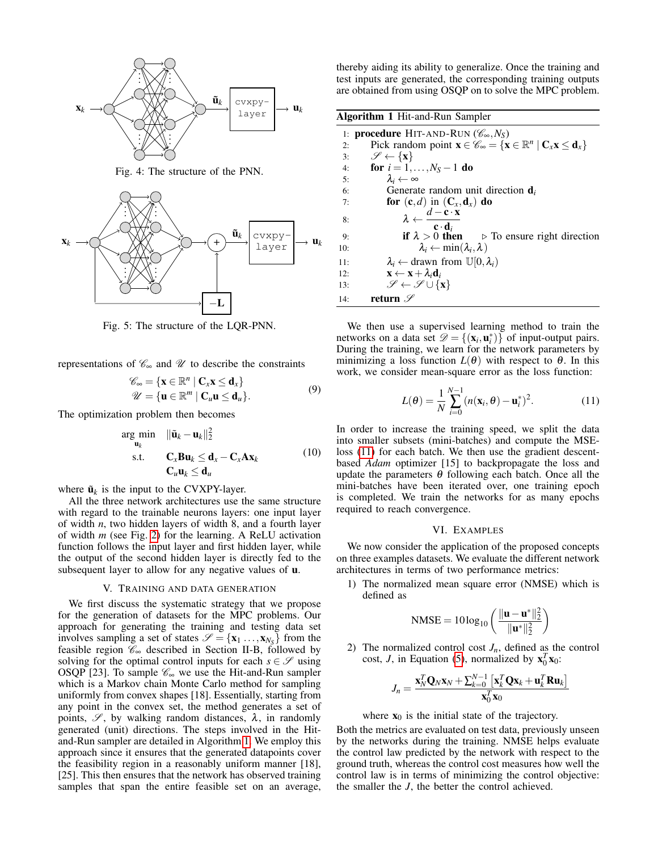<span id="page-4-2"></span>

Fig. 4: The structure of the PNN.

<span id="page-4-3"></span>

Fig. 5: The structure of the LQR-PNN.

representations of  $\mathcal{C}_{\infty}$  and  $\mathcal{U}$  to describe the constraints

$$
\mathscr{C}_{\infty} = \{ \mathbf{x} \in \mathbb{R}^n \mid \mathbf{C}_x \mathbf{x} \le \mathbf{d}_x \} \n\mathscr{U} = \{ \mathbf{u} \in \mathbb{R}^m \mid \mathbf{C}_u \mathbf{u} \le \mathbf{d}_u \}.
$$
\n(9)

The optimization problem then becomes

$$
\arg\min_{\mathbf{u}_k} \quad \|\tilde{\mathbf{u}}_k - \mathbf{u}_k\|_2^2
$$
\n
$$
\text{s.t.} \quad \mathbf{C}_x \mathbf{B} \mathbf{u}_k \leq \mathbf{d}_x - \mathbf{C}_x \mathbf{A} \mathbf{x}_k \tag{10}
$$
\n
$$
\mathbf{C}_u \mathbf{u}_k \leq \mathbf{d}_u
$$

where  $\tilde{\mathbf{u}}_k$  is the input to the CVXPY-layer.

All the three network architectures use the same structure with regard to the trainable neurons layers: one input layer of width *n*, two hidden layers of width 8, and a fourth layer of width *m* (see Fig. [2\)](#page-2-1) for the learning. A ReLU activation function follows the input layer and first hidden layer, while the output of the second hidden layer is directly fed to the subsequent layer to allow for any negative values of **.** 

### V. TRAINING AND DATA GENERATION

<span id="page-4-0"></span>We first discuss the systematic strategy that we propose for the generation of datasets for the MPC problems. Our approach for generating the training and testing data set involves sampling a set of states  $\mathcal{S} = {\mathbf{x}_1 \dots, \mathbf{x}_{N_S}}$  from the feasible region  $\mathcal{C}_{\infty}$  described in Section II-B, followed by solving for the optimal control inputs for each  $s \in \mathcal{S}$  using OSQP [23]. To sample  $\mathcal{C}_{\infty}$  we use the Hit-and-Run sampler which is a Markov chain Monte Carlo method for sampling uniformly from convex shapes [18]. Essentially, starting from any point in the convex set, the method generates a set of points,  $\mathscr{S}$ , by walking random distances,  $\lambda$ , in randomly generated (unit) directions. The steps involved in the Hitand-Run sampler are detailed in Algorithm [1.](#page-4-4) We employ this approach since it ensures that the generated datapoints cover the feasibility region in a reasonably uniform manner [18], [25]. This then ensures that the network has observed training samples that span the entire feasible set on an average,

thereby aiding its ability to generalize. Once the training and test inputs are generated, the corresponding training outputs are obtained from using OSQP on to solve the MPC problem.

<span id="page-4-4"></span>

| <b>Algorithm 1 Hit-and-Run Sampler</b> |                                                                                                                                        |
|----------------------------------------|----------------------------------------------------------------------------------------------------------------------------------------|
|                                        | 1: <b>procedure</b> HIT-AND-RUN ( $\mathscr{C}_{\infty}, N_S$ )                                                                        |
| 2:                                     | Pick random point $\mathbf{x} \in \mathscr{C}_{\infty} = {\mathbf{x} \in \mathbb{R}^n \mid \mathbf{C}_x \mathbf{x} \leq \mathbf{d}_x}$ |
| 3:                                     | $\mathscr{S} \leftarrow {\mathbf{x}}$                                                                                                  |
| 4:                                     | for $i = 1, , N_S - 1$ do                                                                                                              |
| 5:                                     | $\lambda_i \leftarrow \infty$                                                                                                          |
| 6:                                     | Generate random unit direction $\mathbf{d}_i$                                                                                          |
| 7:                                     | for $(c,d)$ in $(C_x, d_x)$ do                                                                                                         |
| 8:                                     | $\lambda \leftarrow \frac{d - \mathbf{c} \cdot \mathbf{x}}{\mathbf{c} \cdot \mathbf{d}_i}$                                             |
| 9:                                     | if $\lambda > 0$ then $\Rightarrow$ To ensure right direction                                                                          |
| 10:                                    | $\lambda_i \leftarrow \min(\lambda_i, \lambda)$                                                                                        |
| 11:                                    | $\lambda_i \leftarrow$ drawn from $\mathbb{U}[0, \lambda_i)$                                                                           |
| 12:                                    | $\mathbf{x} \leftarrow \mathbf{x} + \lambda_i \mathbf{d}_i$                                                                            |
| 13:                                    | $\mathscr{S} \leftarrow \mathscr{S} \cup \{x\}$                                                                                        |
| 14:                                    | return $\mathscr S$                                                                                                                    |

We then use a supervised learning method to train the networks on a data set  $\mathcal{D} = \{(\mathbf{x}_i, \mathbf{u}_i^*)\}$  of input-output pairs. During the training, we learn for the network parameters by minimizing a loss function  $L(\theta)$  with respect to  $\theta$ . In this work, we consider mean-square error as the loss function:

<span id="page-4-5"></span>
$$
L(\boldsymbol{\theta}) = \frac{1}{N} \sum_{i=0}^{N-1} (n(\mathbf{x}_i, \boldsymbol{\theta}) - \mathbf{u}_i^*)^2.
$$
 (11)

In order to increase the training speed, we split the data into smaller subsets (mini-batches) and compute the MSEloss [\(11\)](#page-4-5) for each batch. We then use the gradient descentbased *Adam* optimizer [15] to backpropagate the loss and update the parameters  $\theta$  following each batch. Once all the mini-batches have been iterated over, one training epoch is completed. We train the networks for as many epochs required to reach convergence.

# VI. EXAMPLES

<span id="page-4-1"></span>We now consider the application of the proposed concepts on three examples datasets. We evaluate the different network architectures in terms of two performance metrics:

1) The normalized mean square error (NMSE) which is defined as

$$
NMSE=10\log_{10}\left(\frac{\|\boldsymbol{u}-\boldsymbol{u}^*\|_2^2}{\|\boldsymbol{u}^*\|_2^2}\right)
$$

2) The normalized control cost  $J_n$ , defined as the control cost, *J*, in Equation [\(5\)](#page-1-7), normalized by  $\mathbf{x}_0^T \mathbf{x}_0$ :

$$
J_n = \frac{\mathbf{x}_N^T \mathbf{Q}_N \mathbf{x}_N + \sum_{k=0}^{N-1} \left[ \mathbf{x}_k^T \mathbf{Q} \mathbf{x}_k + \mathbf{u}_k^T \mathbf{R} \mathbf{u}_k \right]}{\mathbf{x}_0^T \mathbf{x}_0}
$$

where  $x_0$  is the initial state of the trajectory.

Both the metrics are evaluated on test data, previously unseen by the networks during the training. NMSE helps evaluate the control law predicted by the network with respect to the ground truth, whereas the control cost measures how well the control law is in terms of minimizing the control objective: the smaller the *J*, the better the control achieved.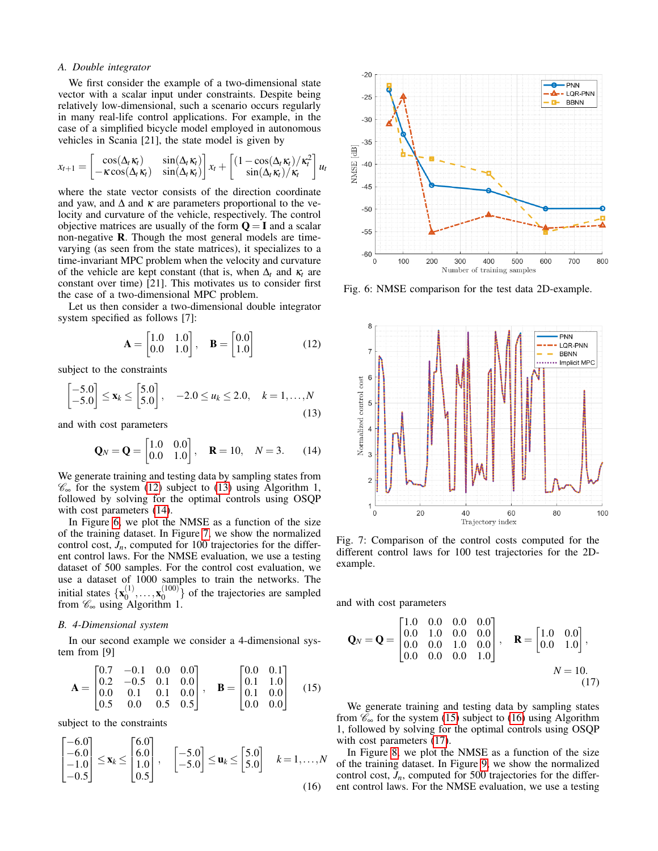## *A. Double integrator*

We first consider the example of a two-dimensional state vector with a scalar input under constraints. Despite being relatively low-dimensional, such a scenario occurs regularly in many real-life control applications. For example, in the case of a simplified bicycle model employed in autonomous vehicles in Scania [21], the state model is given by

$$
x_{t+1} = \begin{bmatrix} \cos(\Delta_t \kappa_t) & \sin(\Delta_t \kappa_t) \\ -\kappa \cos(\Delta_t \kappa_t) & \sin(\Delta_t \kappa_t) \end{bmatrix} x_t + \begin{bmatrix} (1 - \cos(\Delta_t \kappa_t)/\kappa_t^2) \\ \sin(\Delta_t \kappa_t)/\kappa_t \end{bmatrix} u_t
$$

where the state vector consists of the direction coordinate and yaw, and  $\Delta$  and  $\kappa$  are parameters proportional to the velocity and curvature of the vehicle, respectively. The control objective matrices are usually of the form  $Q = I$  and a scalar non-negative  $\bf{R}$ . Though the most general models are timevarying (as seen from the state matrices), it specializes to a time-invariant MPC problem when the velocity and curvature of the vehicle are kept constant (that is, when  $\Delta_t$  and  $\kappa_t$  are constant over time) [21]. This motivates us to consider first the case of a two-dimensional MPC problem.

Let us then consider a two-dimensional double integrator system specified as follows [7]:

<span id="page-5-0"></span>
$$
\mathbf{A} = \begin{bmatrix} 1.0 & 1.0 \\ 0.0 & 1.0 \end{bmatrix}, \quad \mathbf{B} = \begin{bmatrix} 0.0 \\ 1.0 \end{bmatrix}
$$
 (12)

subject to the constraints

<span id="page-5-1"></span>
$$
\begin{bmatrix} -5.0 \\ -5.0 \end{bmatrix} \le \mathbf{x}_k \le \begin{bmatrix} 5.0 \\ 5.0 \end{bmatrix}, \quad -2.0 \le u_k \le 2.0, \quad k = 1, ..., N
$$
\n(13)

and with cost parameters

<span id="page-5-2"></span>
$$
\mathbf{Q}_N = \mathbf{Q} = \begin{bmatrix} 1.0 & 0.0 \\ 0.0 & 1.0 \end{bmatrix}, \quad \mathbf{R} = 10, \quad N = 3. \tag{14}
$$

We generate training and testing data by sampling states from  $\mathscr{C}_{\infty}$  for the system [\(12\)](#page-5-0) subject to [\(13\)](#page-5-1) using Algorithm 1, followed by solving for the optimal controls using OSQP with cost parameters  $(14)$ .

In Figure [6,](#page-5-3) we plot the NMSE as a function of the size of the training dataset. In Figure [7,](#page-5-4) we show the normalized control cost,  $J_n$ , computed for 100 trajectories for the different control laws. For the NMSE evaluation, we use a testing dataset of 500 samples. For the control cost evaluation, we use a dataset of 1000 samples to train the networks. The initial states  $\{x_0^{(1)}\}$  $\mathbf{x}_0^{(1)}, \ldots, \mathbf{x}_0^{(100)}$  $\binom{100}{0}$  of the trajectories are sampled from  $\mathscr{C}_{\infty}$  using Algorithm 1.

## *B. 4-Dimensional system*

In our second example we consider a 4-dimensional system from [9]

<span id="page-5-5"></span>
$$
\mathbf{A} = \begin{bmatrix} 0.7 & -0.1 & 0.0 & 0.0 \\ 0.2 & -0.5 & 0.1 & 0.0 \\ 0.0 & 0.1 & 0.1 & 0.0 \\ 0.5 & 0.0 & 0.5 & 0.5 \end{bmatrix}, \quad \mathbf{B} = \begin{bmatrix} 0.0 & 0.1 \\ 0.1 & 1.0 \\ 0.1 & 0.0 \\ 0.0 & 0.0 \end{bmatrix}
$$
(15)

subject to the constraints

<span id="page-5-6"></span>
$$
\begin{bmatrix} -6.0 \\ -6.0 \\ -1.0 \\ -0.5 \end{bmatrix} \le \mathbf{x}_k \le \begin{bmatrix} 6.0 \\ 6.0 \\ 1.0 \\ 0.5 \end{bmatrix}, \quad \begin{bmatrix} -5.0 \\ -5.0 \end{bmatrix} \le \mathbf{u}_k \le \begin{bmatrix} 5.0 \\ 5.0 \end{bmatrix} \quad k = 1, ..., N
$$
\n(16)

<span id="page-5-3"></span>

Fig. 6: NMSE comparison for the test data 2D-example.

<span id="page-5-4"></span>

Fig. 7: Comparison of the control costs computed for the different control laws for 100 test trajectories for the 2Dexample.

and with cost parameters

<span id="page-5-7"></span>
$$
\mathbf{Q}_N = \mathbf{Q} = \begin{bmatrix} 1.0 & 0.0 & 0.0 & 0.0 \\ 0.0 & 1.0 & 0.0 & 0.0 \\ 0.0 & 0.0 & 1.0 & 0.0 \\ 0.0 & 0.0 & 0.0 & 1.0 \end{bmatrix}, \quad \mathbf{R} = \begin{bmatrix} 1.0 & 0.0 \\ 0.0 & 1.0 \end{bmatrix},
$$
  
\n
$$
N = 10.
$$
 (17)

We generate training and testing data by sampling states from  $\mathcal{C}_{\infty}$  for the system [\(15\)](#page-5-5) subject to [\(16\)](#page-5-6) using Algorithm 1, followed by solving for the optimal controls using OSQP with cost parameters  $(17)$ .

In Figure [8,](#page-6-0) we plot the NMSE as a function of the size of the training dataset. In Figure [9,](#page-6-1) we show the normalized control cost,  $J_n$ , computed for 500 trajectories for the different control laws. For the NMSE evaluation, we use a testing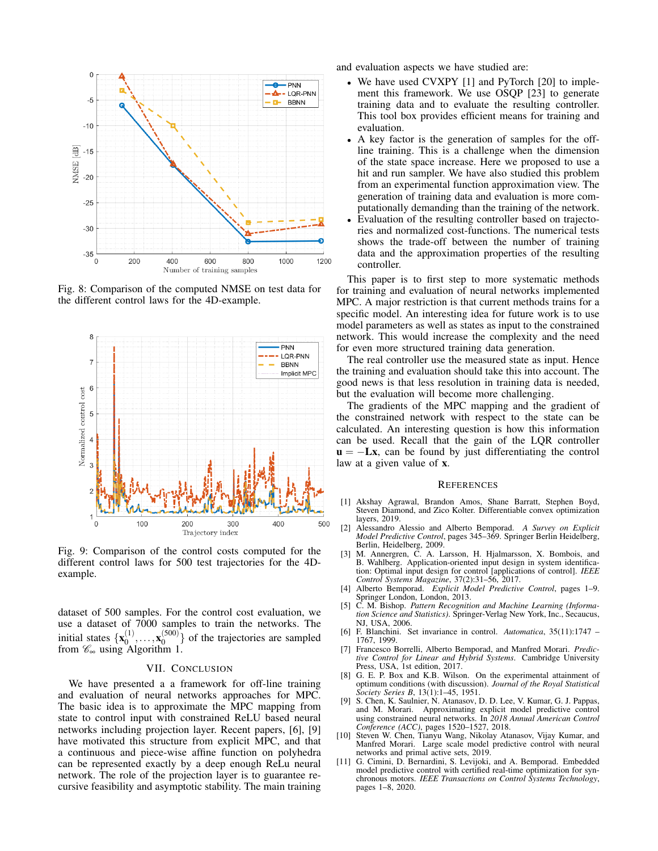<span id="page-6-0"></span>

Fig. 8: Comparison of the computed NMSE on test data for the different control laws for the 4D-example.

<span id="page-6-1"></span>

Fig. 9: Comparison of the control costs computed for the different control laws for 500 test trajectories for the 4Dexample.

dataset of 500 samples. For the control cost evaluation, we use a dataset of 7000 samples to train the networks. The initial states  $\{x_0^{(1)}\}$  $\mathbf{x}_0^{(1)}, \ldots, \mathbf{x}_0^{(500)}$  $\binom{0000}{0}$  of the trajectories are sampled from  $\mathscr{C}_{\infty}$  using Algorithm 1.

# VII. CONCLUSION

We have presented a a framework for off-line training and evaluation of neural networks approaches for MPC. The basic idea is to approximate the MPC mapping from state to control input with constrained ReLU based neural networks including projection layer. Recent papers, [6], [9] have motivated this structure from explicit MPC, and that a continuous and piece-wise affine function on polyhedra can be represented exactly by a deep enough ReLu neural network. The role of the projection layer is to guarantee recursive feasibility and asymptotic stability. The main training and evaluation aspects we have studied are:

- We have used CVXPY [1] and PyTorch [20] to implement this framework. We use OSQP [23] to generate training data and to evaluate the resulting controller. This tool box provides efficient means for training and evaluation.
- A key factor is the generation of samples for the offline training. This is a challenge when the dimension of the state space increase. Here we proposed to use a hit and run sampler. We have also studied this problem from an experimental function approximation view. The generation of training data and evaluation is more computationally demanding than the training of the network.
- Evaluation of the resulting controller based on trajectories and normalized cost-functions. The numerical tests shows the trade-off between the number of training data and the approximation properties of the resulting controller.

This paper is to first step to more systematic methods for training and evaluation of neural networks implemented MPC. A major restriction is that current methods trains for a specific model. An interesting idea for future work is to use model parameters as well as states as input to the constrained network. This would increase the complexity and the need for even more structured training data generation.

The real controller use the measured state as input. Hence the training and evaluation should take this into account. The good news is that less resolution in training data is needed, but the evaluation will become more challenging.

The gradients of the MPC mapping and the gradient of the constrained network with respect to the state can be calculated. An interesting question is how this information can be used. Recall that the gain of the LQR controller  $u = -Lx$ , can be found by just differentiating the control law at a given value of x.

### **REFERENCES**

- [1] Akshay Agrawal, Brandon Amos, Shane Barratt, Stephen Boyd, Steven Diamond, and Zico Kolter. Differentiable convex optimization layers, 2019.
- [2] Alessandro Alessio and Alberto Bemporad. *A Survey on Explicit Model Predictive Control*, pages 345–369. Springer Berlin Heidelberg, Berlin, Heidelberg, 2009.
- [3] M. Annergren, C. A. Larsson, H. Hjalmarsson, X. Bombois, and B. Wahlberg. Application-oriented input design in system identification: Optimal input design for control [applications of control]. *IEEE Control Systems Magazine*, 37(2):31–56, 2017.
- [4] Alberto Bemporad. *Explicit Model Predictive Control*, pages 1–9. Springer London, London, 2013.
- [5] C. M. Bishop. *Pattern Recognition and Machine Learning (Information Science and Statistics)*. Springer-Verlag New York, Inc., Secaucus, NJ, USA, 2006.
- [6] F. Blanchini. Set invariance in control. *Automatica*, 35(11):1747 1767, 1999.
- [7] Francesco Borrelli, Alberto Bemporad, and Manfred Morari. *Predictive Control for Linear and Hybrid Systems*. Cambridge University Press, USA, 1st edition, 2017.
- [8] G. E. P. Box and K.B. Wilson. On the experimental attainment of optimum conditions (with discussion). *Journal of the Royal Statistical Society Series B*, 13(1):1–45, 1951.
- [9] S. Chen, K. Saulnier, N. Atanasov, D. D. Lee, V. Kumar, G. J. Pappas, and M. Morari. Approximating explicit model predictive control using constrained neural networks. In *2018 Annual American Control Conference (ACC)*, pages 1520–1527, 2018.
- [10] Steven W. Chen, Tianyu Wang, Nikolay Atanasov, Vijay Kumar, and Manfred Morari. Large scale model predictive control with neural networks and primal active sets, 2019.
- [11] G. Cimini, D. Bernardini, S. Levijoki, and A. Bemporad. Embedded model predictive control with certified real-time optimization for synchronous motors. *IEEE Transactions on Control Systems Technology*, pages 1–8, 2020.